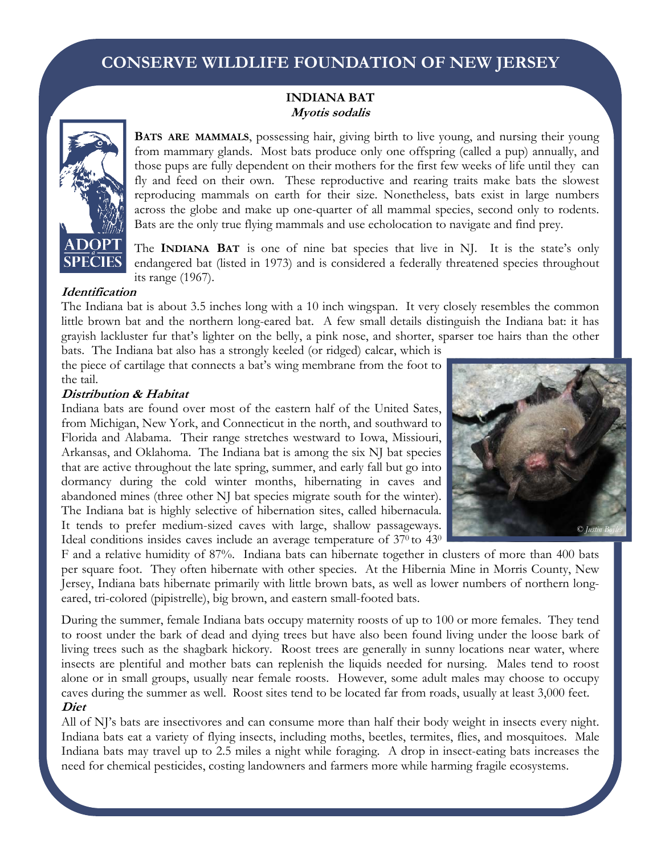# **CONSERVE WILDLIFE FOUNDATION OF NEW JERSEY**

### **INDIANA BAT Myotis sodalis**



**BATS ARE MAMMALS**, possessing hair, giving birth to live young, and nursing their young from mammary glands. Most bats produce only one offspring (called a pup) annually, and those pups are fully dependent on their mothers for the first few weeks of life until they can fly and feed on their own. These reproductive and rearing traits make bats the slowest reproducing mammals on earth for their size. Nonetheless, bats exist in large numbers across the globe and make up one-quarter of all mammal species, second only to rodents. Bats are the only true flying mammals and use echolocation to navigate and find prey.

The **INDIANA BAT** is one of nine bat species that live in NJ. It is the state's only endangered bat (listed in 1973) and is considered a federally threatened species throughout its range (1967).

#### **Identification**

The Indiana bat is about 3.5 inches long with a 10 inch wingspan. It very closely resembles the common little brown bat and the northern long-eared bat. A few small details distinguish the Indiana bat: it has grayish lackluster fur that's lighter on the belly, a pink nose, and shorter, sparser toe hairs than the other bats. The Indiana bat also has a strongly keeled (or ridged) calcar, which is

the piece of cartilage that connects a bat's wing membrane from the foot to the tail.

#### **Distribution & Habitat**

Indiana bats are found over most of the eastern half of the United Sates, from Michigan, New York, and Connecticut in the north, and southward to Florida and Alabama. Their range stretches westward to Iowa, Missiouri, Arkansas, and Oklahoma. The Indiana bat is among the six NJ bat species that are active throughout the late spring, summer, and early fall but go into dormancy during the cold winter months, hibernating in caves and abandoned mines (three other NJ bat species migrate south for the winter). The Indiana bat is highly selective of hibernation sites, called hibernacula. It tends to prefer medium-sized caves with large, shallow passageways. Ideal conditions insides caves include an average temperature of 37<sup>0</sup> to 43<sup>0</sup>



F and a relative humidity of 87%. Indiana bats can hibernate together in clusters of more than 400 bats per square foot. They often hibernate with other species. At the Hibernia Mine in Morris County, New Jersey, Indiana bats hibernate primarily with little brown bats, as well as lower numbers of northern longeared, tri-colored (pipistrelle), big brown, and eastern small-footed bats.

During the summer, female Indiana bats occupy maternity roosts of up to 100 or more females. They tend to roost under the bark of dead and dying trees but have also been found living under the loose bark of living trees such as the shagbark hickory. Roost trees are generally in sunny locations near water, where insects are plentiful and mother bats can replenish the liquids needed for nursing. Males tend to roost alone or in small groups, usually near female roosts. However, some adult males may choose to occupy caves during the summer as well. Roost sites tend to be located far from roads, usually at least 3,000 feet. **Diet** 

All of NJ's bats are insectivores and can consume more than half their body weight in insects every night. Indiana bats eat a variety of flying insects, including moths, beetles, termites, flies, and mosquitoes. Male Indiana bats may travel up to 2.5 miles a night while foraging. A drop in insect-eating bats increases the need for chemical pesticides, costing landowners and farmers more while harming fragile ecosystems.